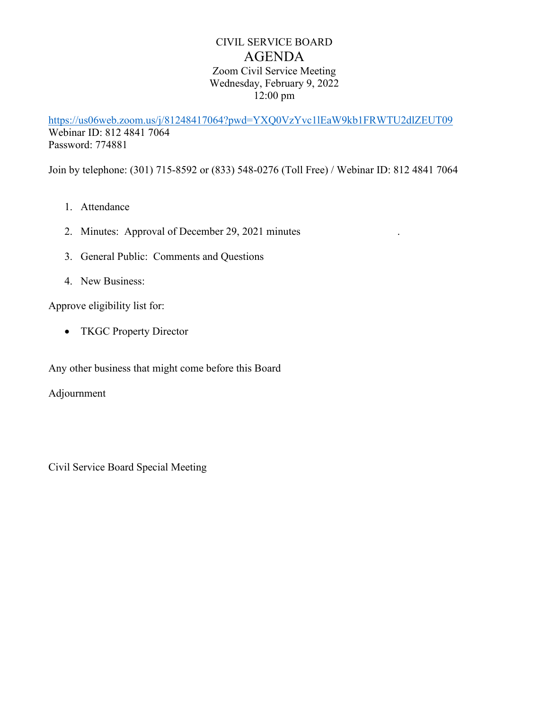## CIVIL SERVICE BOARD AGENDA Zoom Civil Service Meeting Wednesday, February 9, 2022 12:00 pm

<https://us06web.zoom.us/j/81248417064?pwd=YXQ0VzYvc1lEaW9kb1FRWTU2dlZEUT09> Webinar ID: 812 4841 7064 Password: 774881

Join by telephone: (301) 715-8592 or (833) 548-0276 (Toll Free) / Webinar ID: 812 4841 7064

- 1. Attendance
- 2. Minutes: Approval of December 29, 2021 minutes
- 3. General Public: Comments and Questions
- 4. New Business:

Approve eligibility list for:

• TKGC Property Director

Any other business that might come before this Board

Adjournment

Civil Service Board Special Meeting